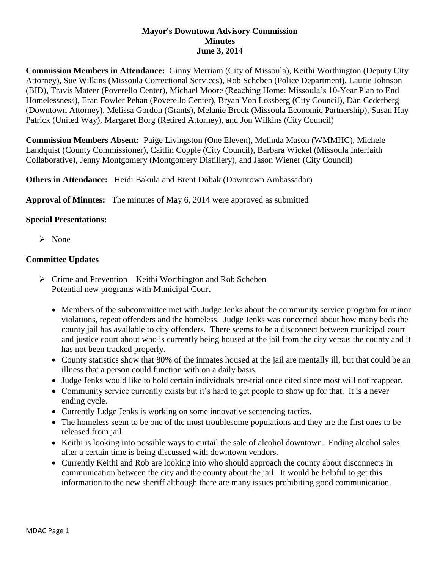## **Mayor's Downtown Advisory Commission Minutes June 3, 2014**

**Commission Members in Attendance:** Ginny Merriam (City of Missoula), Keithi Worthington (Deputy City Attorney), Sue Wilkins (Missoula Correctional Services), Rob Scheben (Police Department), Laurie Johnson (BID), Travis Mateer (Poverello Center), Michael Moore (Reaching Home: Missoula's 10-Year Plan to End Homelessness), Eran Fowler Pehan (Poverello Center), Bryan Von Lossberg (City Council), Dan Cederberg (Downtown Attorney), Melissa Gordon (Grants), Melanie Brock (Missoula Economic Partnership), Susan Hay Patrick (United Way), Margaret Borg (Retired Attorney), and Jon Wilkins (City Council)

**Commission Members Absent:** Paige Livingston (One Eleven), Melinda Mason (WMMHC), Michele Landquist (County Commissioner), Caitlin Copple (City Council), Barbara Wickel (Missoula Interfaith Collaborative), Jenny Montgomery (Montgomery Distillery), and Jason Wiener (City Council)

**Others in Attendance:** Heidi Bakula and Brent Dobak (Downtown Ambassador)

**Approval of Minutes:** The minutes of May 6, 2014 were approved as submitted

## **Special Presentations:**

 $\triangleright$  None

## **Committee Updates**

- $\triangleright$  Crime and Prevention Keithi Worthington and Rob Scheben Potential new programs with Municipal Court
	- Members of the subcommittee met with Judge Jenks about the community service program for minor violations, repeat offenders and the homeless. Judge Jenks was concerned about how many beds the county jail has available to city offenders. There seems to be a disconnect between municipal court and justice court about who is currently being housed at the jail from the city versus the county and it has not been tracked properly.
	- County statistics show that 80% of the inmates housed at the jail are mentally ill, but that could be an illness that a person could function with on a daily basis.
	- Judge Jenks would like to hold certain individuals pre-trial once cited since most will not reappear.
	- Community service currently exists but it's hard to get people to show up for that. It is a never ending cycle.
	- Currently Judge Jenks is working on some innovative sentencing tactics.
	- The homeless seem to be one of the most troublesome populations and they are the first ones to be released from jail.
	- Keithi is looking into possible ways to curtail the sale of alcohol downtown. Ending alcohol sales after a certain time is being discussed with downtown vendors.
	- Currently Keithi and Rob are looking into who should approach the county about disconnects in communication between the city and the county about the jail. It would be helpful to get this information to the new sheriff although there are many issues prohibiting good communication.